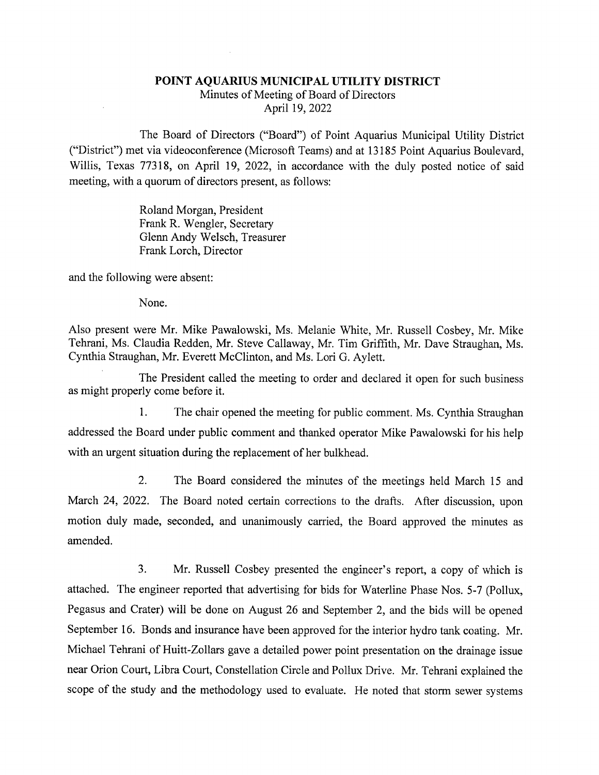## POINT AQUARIUS MUNICIPAL UTILITY DISTRICT

Minutes of Meeting of Board of Directors April 19, 2022

The Board of Directors ("Board") of Point Aquarius Municipal Utility District ("District") met via videoconference (Microsoft Teams) and at 13185 Point Aquarius Boulevard, Willis, Texas 77318, on April 19, 2022, in accordance with the duly posted notice of said meeting, with a quorum of directors present, as follows:

> Roland Morgan, President Frank R. Wengler, Secretary Glenn Andy Welsch, Treasurer Frank Lorch, Director

and the following were absent:

None.

Also present were Mr. Mike Pawalowski, Ms. Melanie White, Mr. Russell Cosbey, Mr. Mike Tehrani, Ms. Claudia Redden, Mr. Steve Callaway, Mr. Tim Griffith, Mr. Dave Straughan, Ms. Cynthia Straughan, Mr. Everett McClinton, and Ms. Lori G. Aylett.

The President called the meeting to order and declared it open for such business as might properly come before it.

1. The chair opened the meeting for public comment. Ms. Cynthia Straughan addressed the Board under public comment and thanked operator Mike Pawalowski for his help with an urgent situation during the replacement of her bulkhead.

2. The Board considered the minutes of the meetings held March 15 and March 24, 2022. The Board noted certain corrections to the drafts. After discussion, upon motion duly made, seconded, and unanimously carried, the Board approved the minutes as amended.

3. Mr. Russell Cosbey presented the engineer's report, a copy of which is attached. The engineer reported that advertising for bids for Waterline Phase Nos. 5-7 (Pollux, Pegasus and Crater) will be done on August 26 and September 2, and the bids will be opened September 16. Bonds and insurance have been approved for the interior hydro tank coating. Mr. Michael Tehrani of Huitt-Zollars gave a detailed power point presentation on the drainage issue near Orion Court, Libra Court, Constellation Circle and Pollux Drive. Mr. Tehrani explained the scope of the study and the methodology used to evaluate. He noted that storm sewer systems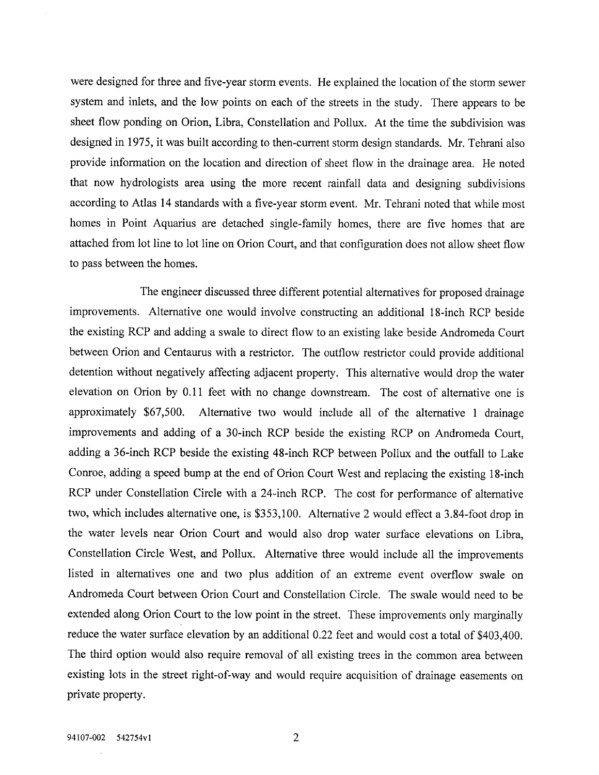were designed for three and five-year storm events. He explained the location of the storm sewer system and inlets, and the low points on each of the streets in the study. There appears to be sheet flow ponding on Orion, Libra, Constellation and Pollux. At the time the subdivision was designed in 1975, it was built according to then-current storm design standards. Mr. Tehrani also provide information on the location and direction of sheet flow in the drainage area. He noted that now hydrologists area using the more recent rainfall data and designing subdivisions according to Atlas 14 standards with a five-year storm event. Mr. Tehrani noted that while most homes in Point Aquarius are detached single-family homes, there are five homes that are attached from lot line to lot line on Orion Court, and that configuration does not allow sheet flow to pass between the homes.

The engineer discussed three different potential alternatives for proposed drainage improvements. Alternative one would involve constructing an additional 18-inch RCP beside the existing RCP and adding a swale to direct flow to an existing lake beside Andromeda Court between Orion and Centaurus with a restrictor. The outflow restrictor could provide additional detention without negatively affecting adjacent property. This alternative would drop the water elevation on Orion by 0.11 feet with no change downstream. The cost of alternative one is approximately \$67,500. Alternative two would include all of the alternative 1 drainage improvements and adding of a 30-inch RCP beside the existing RCP on Andromeda Court, adding a 36-inch RCP beside the existing 48-inch RCP between Pollux and the outfall to Lake Conroe, adding a speed bump at the end of Orion Court West and replacing the existing 18-inch RCP under Constellation Circle with a 24-inch RCP. The cost for performance of alternative two, which includes alternative one, is \$353,100. Alternative 2 would effect a 3.84-foot drop in the water levels near Orion Court and would also drop water surface elevations on Libra, Constellation Circle West, and Pollux. Alternative three would include all the improvements listed in alternatives one and two plus addition of an extreme event overflow swale on Andromeda Court between Orion Court and Constellation Circle. The swale would need to be extended along Orion Court to the low point in the street. These improvements only marginally reduce the water surface elevation by an additional 0.22 feet and would cost a total of \$403,400. The third option would also require removal of all existing trees in the common area between existing lots in the street right-of-way and would require acquisition of drainage easements on private property.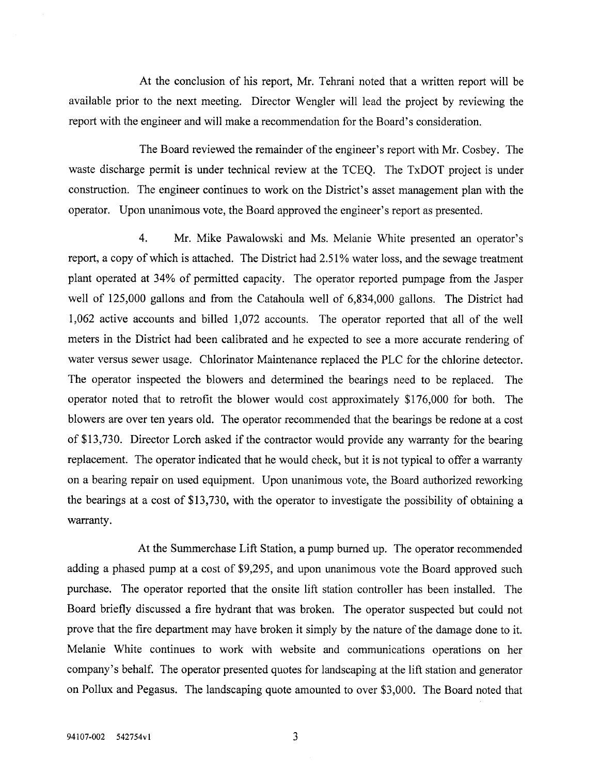At the conclusion of his report, Mr. Tehrani noted that a written report will be available prior to the next meeting. Director Wengler will lead the project by reviewing the report with the engineer and will make a recommendation for the Board's consideration.

The Board reviewed the remainder of the engineer's report with Mr. Cosbey. The waste discharge permit is under technical review at the TCEQ. The TxDOT project is under constmction. The engineer continues to work on the District's asset management plan with the operator. Upon unanimous vote, the Board approved the engineer's report as presented.

4. Mr. Mike Pawalowski and Ms. Melanie White presented an operator's report, a copy of which is attached. The District had 2.51% water loss, and the sewage treatment plant operated at 34% of permitted capacity. The operator reported pumpage from the Jasper well of 125,000 gallons and from the Catahoula well of 6,834,000 gallons. The District had 1,062 active accounts and billed 1,072 accounts. The operator reported that all of the well meters in the District had been calibrated and he expected to see a more accurate rendering of water versus sewer usage. Chlorinator Maintenance replaced the PLC for the chlorine detector. The operator inspected the blowers and determined the bearings need to be replaced. The operator noted that to retrofit the blower would cost approximately \$176,000 for both. The blowers are over ten years old. The operator recommended that the bearings be redone at a cost of \$13,730. Director Lorch asked if the contractor would provide any warranty for the bearing replacement. The operator indicated that he would check, but it is not typical to offer a warranty on a bearing repair on used equipment. Upon unanimous vote, the Board authorized reworking the bearings at a cost of \$13,730, with the operator to investigate the possibility of obtaining a warranty.

At the Summerchase Lift Station, a pump burned up. The operator recommended adding a phased pump at a cost of \$9,295, and upon unanimous vote the Board approved such purchase. The operator reported that the onsite lift station controller has been installed. The Board briefly discussed a fire hydrant that was broken. The operator suspected but could not prove that the fire department may have broken it simply by the nature of the damage done to it. Melanie White continues to work with website and communications operations on her company's behalf. The operator presented quotes for landscaping at the lift station and generator on Pollux and Pegasus. The landscaping quote amounted to over \$3,000. The Board noted that

3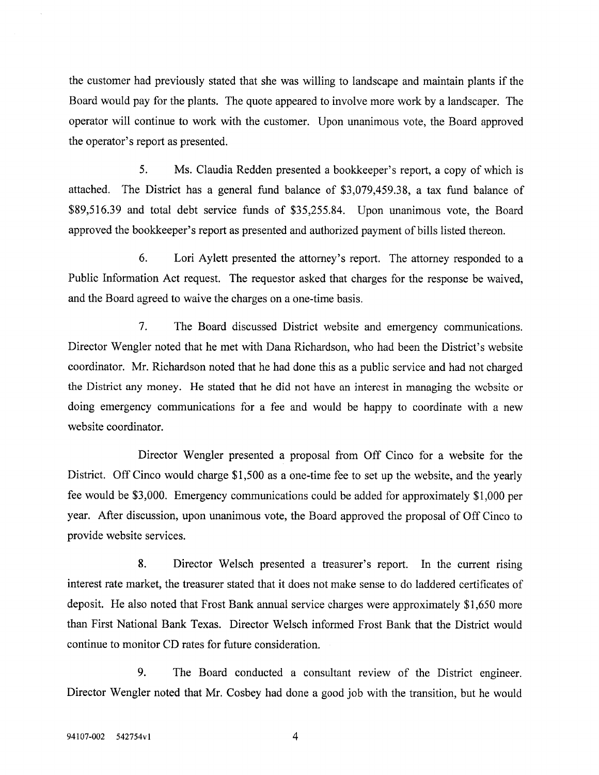the customer had previously stated that she was willing to landscape and maintain plants if the Board would pay for the plants. The quote appeared to involve more work by a landscaper. The operator will continue to work with the customer. Upon unanimous vote, the Board approved the operator's report as presented.

5. Ms. Claudia Redden presented a bookkeeper's report, a copy of which is attached. The District has a general fund balance of \$3,079,459.38, a tax fund balance of \$89,516.39 and total debt service funds of \$35,255.84. Upon unanimous vote, the Board approved the bookkeeper's report as presented and authorized payment of bills listed thereon.

6. Lori Aylett presented the attorney's report. The attorney responded to a Public Information Act request. The requestor asked that charges for the response be waived, and the Board agreed to waive the charges on a one-time basis.

7. The Board discussed District website and emergency communications. Director Wengler noted that he met with Dana Richardson, who had been the District's website coordinator. Mr. Richardson noted that he had done this as a public service and had not charged the District any money. He stated that he did not have an interest in managing the website or doing emergency communications for a fee and would be happy to coordinate with a new website coordinator.

Director Wengler presented a proposal from Off Cinco for a website for the District. Off Cinco would charge \$1,500 as a one-time fee to set up the website, and the yearly fee would be \$3,000. Emergency communications could be added for approximately \$1,000 per year. After discussion, upon unanimous vote, the Board approved the proposal of Off Cinco to provide website services.

8. Director Welsch presented a treasurer's report. In the current rising interest rate market, the treasurer stated that it does not make sense to do laddered certificates of deposit. He also noted that Frost Bank annual service charges were approximately \$1,650 more than First National Bank Texas. Director Welsch informed Frost Bank that the District would continue to monitor CD rates for future consideration.

9. The Board conducted a consultant review of the District engineer. Director Wengler noted that Mr. Cosbey had done a good job with the transition, but he would

4